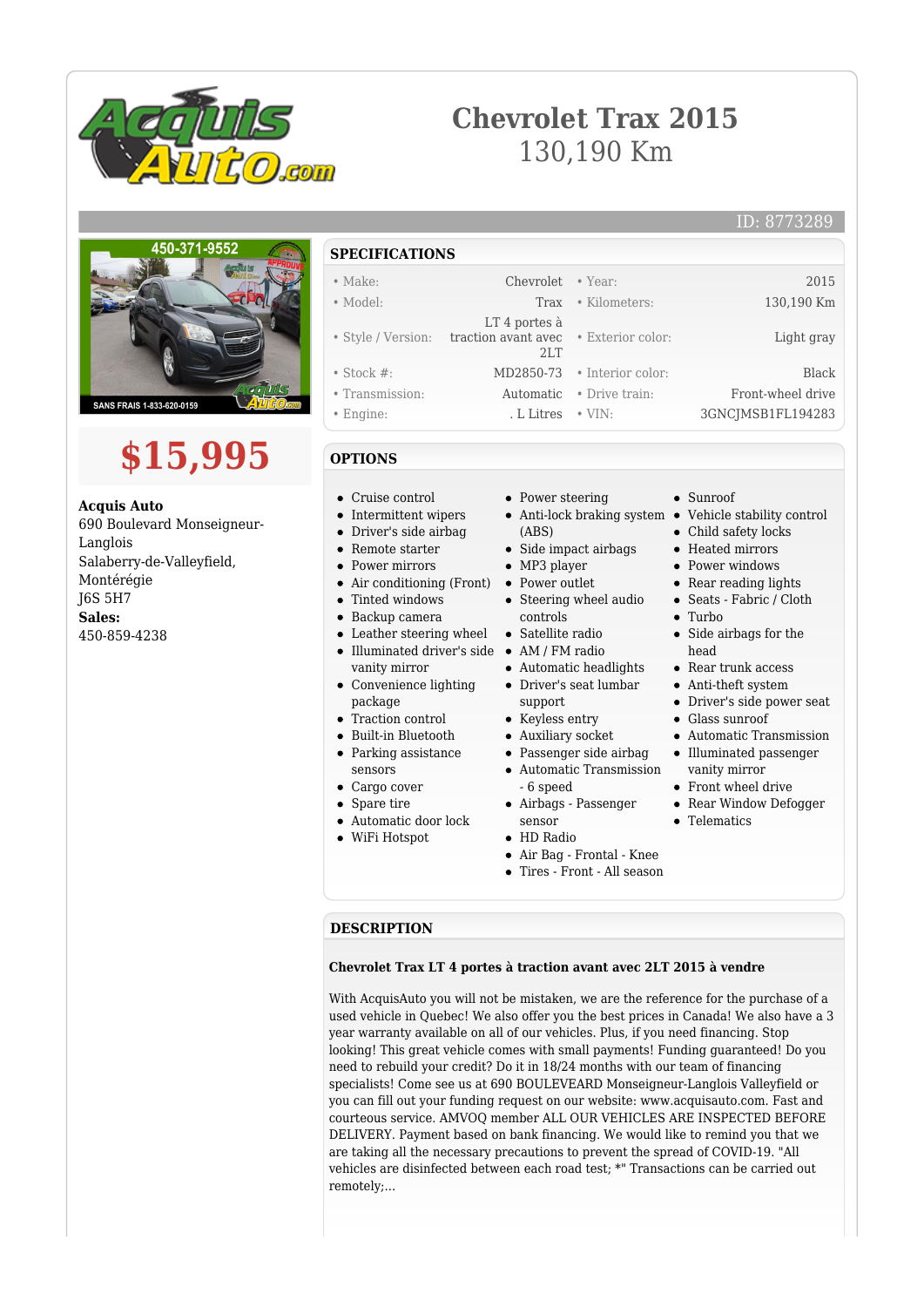

## **Chevrolet Trax 2015** 130,190 Km

#### ID: 8773289



# **\$15,995**

**Acquis Auto** 690 Boulevard Monseigneur-Langlois Salaberry-de-Valleyfield, Montérégie J6S 5H7 **Sales:** 450-859-4238

## **SPECIFICATIONS**

| $\bullet$ Make:    | Chevrolet • Year:                                                         |                             | 2015              |
|--------------------|---------------------------------------------------------------------------|-----------------------------|-------------------|
| • Model:           | Trax                                                                      | • Kilometers:               | 130,190 Km        |
|                    | LT 4 portes à<br>• Style / Version: traction avant avec • Exterior color: |                             | Light gray        |
|                    | 2LT                                                                       |                             |                   |
| $\bullet$ Stock #: |                                                                           | MD2850-73 • Interior color: | <b>Black</b>      |
| • Transmission:    | Automatic                                                                 | • Drive train:              | Front-wheel drive |
| • Engine:          | . L Litres                                                                | $\bullet$ VIN:              | 3GNCJMSB1FL194283 |

### **OPTIONS**

- Cruise control
- Intermittent wipers
- Driver's side airbag
- Remote starter
- **Power mirrors**
- Air conditioning (Front) Power outlet
- Tinted windows
- Backup camera
- Leather steering wheel Satellite radio
- Illuminated driver's side AM / FM radio vanity mirror
- Convenience lighting package
- Traction control
- Built-in Bluetooth
- Parking assistance
- sensors
- Cargo cover
- Spare tire
- Automatic door lock
- WiFi Hotspot
- Power steering
- Anti-lock braking system Vehicle stability control (ABS)
- Side impact airbags
- MP3 player
- 
- Steering wheel audio controls
- 
- 
- Automatic headlights Driver's seat lumbar
- support • Keyless entry
- Auxiliary socket
- Passenger side airbag
- Automatic Transmission - 6 speed
- Airbags Passenger sensor
- HD Radio
- Air Bag Frontal Knee
- Tires Front All season
- Sunroof
- Child safety locks
- Heated mirrors
- Power windows
- Rear reading lights
- Seats Fabric / Cloth
- $\bullet$  Turbo
- $\bullet~$  Side airbags for the head
- Rear trunk access
- Anti-theft system
- Driver's side power seat
- Glass sunroof
- Automatic Transmission
- Illuminated passenger
- vanity mirror
- Front wheel drive
- Rear Window Defogger
- Telematics
- 
- 
- 

#### **DESCRIPTION**

#### **Chevrolet Trax LT 4 portes à traction avant avec 2LT 2015 à vendre**

With AcquisAuto you will not be mistaken, we are the reference for the purchase of a used vehicle in Quebec! We also offer you the best prices in Canada! We also have a 3 year warranty available on all of our vehicles. Plus, if you need financing. Stop looking! This great vehicle comes with small payments! Funding guaranteed! Do you need to rebuild your credit? Do it in 18/24 months with our team of financing specialists! Come see us at 690 BOULEVEARD Monseigneur-Langlois Valleyfield or you can fill out your funding request on our website: www.acquisauto.com. Fast and courteous service. AMVOQ member ALL OUR VEHICLES ARE INSPECTED BEFORE DELIVERY. Payment based on bank financing. We would like to remind you that we are taking all the necessary precautions to prevent the spread of COVID-19. "All vehicles are disinfected between each road test; \*" Transactions can be carried out remotely;...